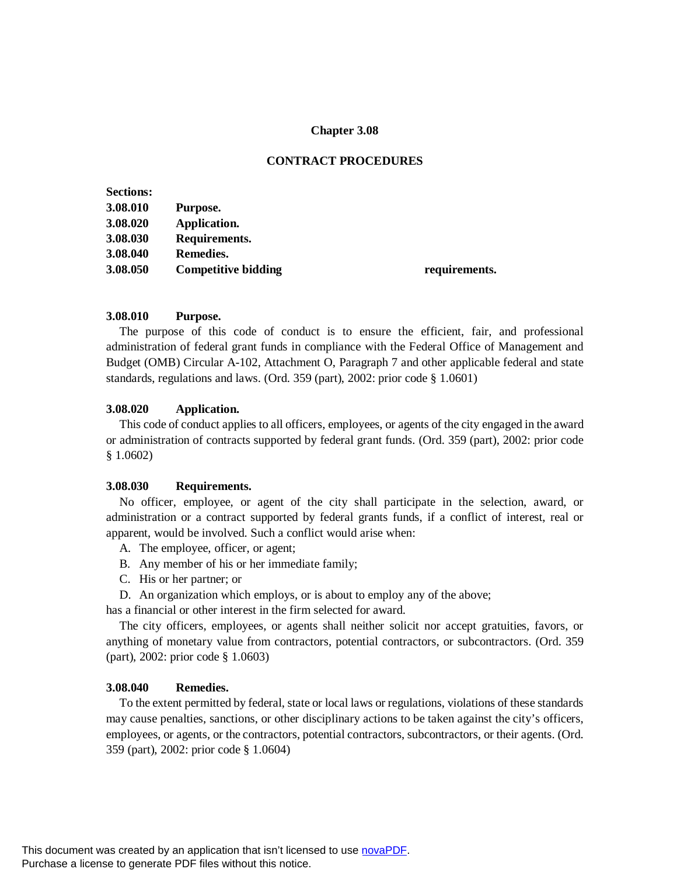#### **Chapter 3.08**

# **CONTRACT PROCEDURES**

| <b>Sections:</b> |                            |
|------------------|----------------------------|
| 3.08.010         | Purpose.                   |
| 3.08.020         | Application.               |
| 3.08.030         | Requirements.              |
| 3.08.040         | Remedies.                  |
| 3.08.050         | <b>Competitive bidding</b> |

**3.08.050 Competitive bidding requirements.**

# **3.08.010 Purpose.**

The purpose of this code of conduct is to ensure the efficient, fair, and professional administration of federal grant funds in compliance with the Federal Office of Management and Budget (OMB) Circular A-102, Attachment O, Paragraph 7 and other applicable federal and state standards, regulations and laws. (Ord. 359 (part), 2002: prior code § 1.0601)

#### **3.08.020 Application.**

This code of conduct applies to all officers, employees, or agents of the city engaged in the award or administration of contracts supported by federal grant funds. (Ord. 359 (part), 2002: prior code § 1.0602)

### **3.08.030 Requirements.**

No officer, employee, or agent of the city shall participate in the selection, award, or administration or a contract supported by federal grants funds, if a conflict of interest, real or apparent, would be involved. Such a conflict would arise when:

- A. The employee, officer, or agent;
- B. Any member of his or her immediate family;
- C. His or her partner; or
- D. An organization which employs, or is about to employ any of the above;

has a financial or other interest in the firm selected for award.

The city officers, employees, or agents shall neither solicit nor accept gratuities, favors, or anything of monetary value from contractors, potential contractors, or subcontractors. (Ord. 359 (part), 2002: prior code § 1.0603)

### **3.08.040 Remedies.**

To the extent permitted by federal, state or local laws or regulations, violations of these standards may cause penalties, sanctions, or other disciplinary actions to be taken against the city's officers, employees, or agents, or the contractors, potential contractors, subcontractors, or their agents. (Ord. 359 (part), 2002: prior code § 1.0604)